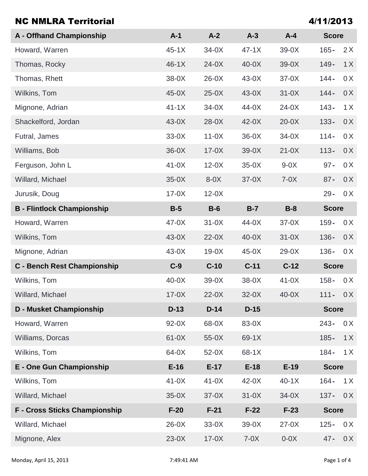| <b>NC NMLRA Territorial</b>          |         |         |         |         | 4/11/2013    |     |
|--------------------------------------|---------|---------|---------|---------|--------------|-----|
| <b>A</b> - Offhand Championship      | $A-1$   | $A-2$   | $A-3$   | $A - 4$ | <b>Score</b> |     |
| Howard, Warren                       | $45-1X$ | $34-0X$ | $47-1X$ | $39-0X$ | $165 -$      | 2X  |
| Thomas, Rocky                        | $46-1X$ | $24-0X$ | $40-0X$ | $39-0X$ | $149 -$      | 1X  |
| Thomas, Rhett                        | 38-0X   | $26-0X$ | $43-0X$ | $37-0X$ | $144 -$      | 0 X |
| Wilkins, Tom                         | $45-0X$ | $25-0X$ | $43-0X$ | $31-0X$ | $144 -$      | 0 X |
| Mignone, Adrian                      | $41-1X$ | $34-0X$ | $44-0X$ | $24-0X$ | $143 -$      | 1X  |
| Shackelford, Jordan                  | $43-0X$ | $28-0X$ | $42-0X$ | $20-0X$ | $133 -$      | 0X  |
| Futral, James                        | $33-0X$ | $11-0X$ | $36-0X$ | $34-0X$ | $114 -$      | 0 X |
| Williams, Bob                        | $36-0X$ | $17-0X$ | $39-0X$ | $21-0X$ | $113 -$      | 0 X |
| Ferguson, John L                     | $41-0X$ | $12-0X$ | $35-0X$ | $9-0X$  | $97 -$       | 0 X |
| Willard, Michael                     | $35-0X$ | $8-0X$  | $37-0X$ | $7-0X$  | $87 -$       | 0X  |
| Jurusik, Doug                        | $17-0X$ | $12-0X$ |         |         | $29 -$       | 0 X |
| <b>B</b> - Flintlock Championship    | $B-5$   | $B-6$   | $B-7$   | $B-8$   | <b>Score</b> |     |
| Howard, Warren                       | $47-0X$ | $31-0X$ | $44-0X$ | $37-0X$ | $159 -$      | 0 X |
| Wilkins, Tom                         | $43-0X$ | $22-0X$ | $40-0X$ | $31-0X$ | $136 -$      | 0X  |
| Mignone, Adrian                      | 43-0X   | $19-0X$ | $45-0X$ | $29-0X$ | $136 -$      | 0 X |
| <b>C</b> - Bench Rest Championship   | $C-9$   | $C-10$  | $C-11$  | $C-12$  | <b>Score</b> |     |
| Wilkins, Tom                         | $40-0X$ | $39-0X$ | 38-0X   | $41-0X$ | $158 -$      | 0 X |
| Willard, Michael                     | $17-0X$ | $22-0X$ | $32-0X$ | $40-0X$ | $111 -$      | 0 X |
| <b>D</b> - Musket Championship       | $D-13$  | $D-14$  | $D-15$  |         | <b>Score</b> |     |
| Howard, Warren                       | 92-0X   | 68-0X   | 83-0X   |         | $243 -$      | 0 X |
| <b>Williams, Dorcas</b>              | $61-0X$ | $55-0X$ | 69-1X   |         | $185 -$      | 1X  |
| Wilkins, Tom                         | 64-0X   | $52-0X$ | 68-1X   |         | $184 -$      | 1X  |
| E - One Gun Championship             | $E-16$  | $E-17$  | $E-18$  | $E-19$  | <b>Score</b> |     |
| Wilkins, Tom                         | $41-0X$ | $41-0X$ | $42-0X$ | $40-1X$ | $164 -$      | 1X  |
| Willard, Michael                     | $35-0X$ | $37-0X$ | $31-0X$ | $34-0X$ | $137 -$      | 0X  |
| <b>F - Cross Sticks Championship</b> | $F-20$  | $F-21$  | $F-22$  | $F-23$  | <b>Score</b> |     |
| Willard, Michael                     | $26-0X$ | $33-0X$ | $39-0X$ | $27-0X$ | $125 -$      | 0 X |
| Mignone, Alex                        | $23-0X$ | $17-0X$ | $7-0X$  | $0-0X$  | $47 -$       | 0 X |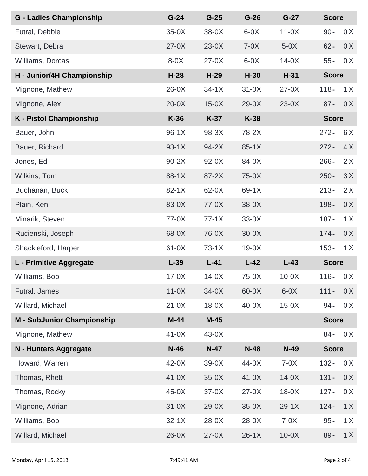| <b>G - Ladies Championship</b>    | $G-24$  | $G-25$  | $G-26$  | $G-27$  | <b>Score</b> |              |  |
|-----------------------------------|---------|---------|---------|---------|--------------|--------------|--|
| Futral, Debbie                    | $35-0X$ | $38-0X$ | $6-0X$  | $11-0X$ | $90 -$       | 0 X          |  |
| Stewart, Debra                    | $27-0X$ | $23-0X$ | $7-0X$  | $5-0X$  | $62 -$       | 0X           |  |
| Williams, Dorcas                  | $8-0X$  | $27-0X$ | $6-0X$  | $14-0X$ | $55 -$       | 0 X          |  |
| H - Junior/4H Championship        | $H-28$  | $H-29$  | $H-30$  | $H-31$  | <b>Score</b> |              |  |
| Mignone, Mathew                   | $26-0X$ | $34-1X$ | $31-0X$ | $27-0X$ | $118 -$      | 1X           |  |
| Mignone, Alex                     | $20-0X$ | $15-0X$ | $29-0X$ | $23-0X$ | $87 -$       | 0 X          |  |
| <b>K</b> - Pistol Championship    | $K-36$  | $K-37$  | $K-38$  |         |              | <b>Score</b> |  |
| Bauer, John                       | $96-1X$ | 98-3X   | 78-2X   |         | $272 -$      | 6X           |  |
| Bauer, Richard                    | $93-1X$ | $94-2X$ | $85-1X$ |         | $272 -$      | 4X           |  |
| Jones, Ed                         | $90-2X$ | $92-0X$ | 84-0X   |         | $266 -$      | 2X           |  |
| Wilkins, Tom                      | 88-1X   | 87-2X   | $75-0X$ |         | $250 -$      | 3X           |  |
| Buchanan, Buck                    | $82-1X$ | 62-0X   | $69-1X$ |         | $213 -$      | 2X           |  |
| Plain, Ken                        | 83-0X   | $77-0X$ | $38-0X$ |         | $198 -$      | 0 X          |  |
| Minarik, Steven                   | $77-0X$ | $77-1X$ | $33-0X$ |         | $187 -$      | 1X           |  |
| Rucienski, Joseph                 | 68-0X   | 76-0X   | $30-0X$ |         | $174 -$      | 0 X          |  |
| Shackleford, Harper               | $61-0X$ | $73-1X$ | $19-0X$ |         | $153 -$      | 1X           |  |
| L - Primitive Aggregate           | $L-39$  | $L-41$  | $L-42$  | $L-43$  | <b>Score</b> |              |  |
| Williams, Bob                     | $17-0X$ | $14-0X$ | $75-0X$ | $10-0X$ | $116 -$      | 0 X          |  |
| Futral, James                     | $11-0X$ | $34-0X$ | 60-0X   | $6-0X$  | $111 -$      | 0 X          |  |
| Willard, Michael                  | $21-0X$ | $18-0X$ | $40-0X$ | $15-0X$ | $94 -$       | 0 X          |  |
| <b>M - SubJunior Championship</b> | $M-44$  | $M-45$  |         |         | <b>Score</b> |              |  |
| Mignone, Mathew                   | $41-0X$ | $43-0X$ |         |         | $84 -$       | 0 X          |  |
| N - Hunters Aggregate             | $N-46$  | $N-47$  | $N-48$  | $N-49$  | <b>Score</b> |              |  |
| Howard, Warren                    | $42-0X$ | $39-0X$ | 44-0X   | $7-0X$  | $132 -$      | 0 X          |  |
| Thomas, Rhett                     | $41-0X$ | $35-0X$ | $41-0X$ | $14-0X$ | $131 -$      | 0X           |  |
| Thomas, Rocky                     | $45-0X$ | $37-0X$ | $27-0X$ | $18-0X$ | $127 -$      | 0 X          |  |
| Mignone, Adrian                   | $31-0X$ | $29-0X$ | $35-0X$ | $29-1X$ | $124 -$      | 1X           |  |
| Williams, Bob                     | $32-1X$ | $28-0X$ | $28-0X$ | $7-0X$  | $95 -$       | 1X           |  |
| Willard, Michael                  | $26-0X$ | $27-0X$ | $26-1X$ | $10-0X$ | $89 -$       | 1X           |  |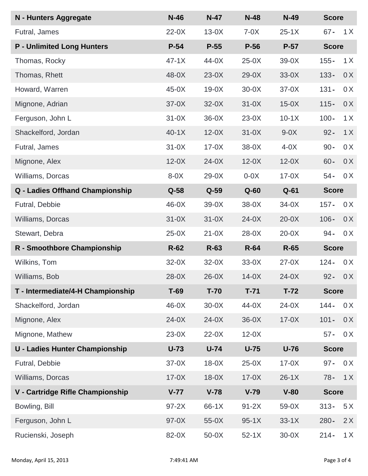| N - Hunters Aggregate                 | $N-46$  | $N-47$  | $N-48$  | $N-49$  | <b>Score</b> |     |
|---------------------------------------|---------|---------|---------|---------|--------------|-----|
| Futral, James                         | $22-0X$ | $13-0X$ | $7-0X$  | $25-1X$ | $67 -$       | 1X  |
| <b>P</b> - Unlimited Long Hunters     | $P-54$  | $P-55$  | $P-56$  | $P-57$  | <b>Score</b> |     |
| Thomas, Rocky                         | $47-1X$ | $44-0X$ | $25-0X$ | $39-0X$ | $155 -$      | 1X  |
| Thomas, Rhett                         | 48-0X   | $23-0X$ | $29-0X$ | $33-0X$ | $133 -$      | 0X  |
| Howard, Warren                        | $45-0X$ | $19-0X$ | $30-0X$ | $37-0X$ | $131 -$      | 0 X |
| Mignone, Adrian                       | $37-0X$ | $32-0X$ | $31-0X$ | $15-0X$ | $115 -$      | 0 X |
| Ferguson, John L                      | $31-0X$ | $36-0X$ | $23-0X$ | $10-1X$ | $100 -$      | 1X  |
| Shackelford, Jordan                   | $40-1X$ | $12-0X$ | $31-0X$ | $9-0X$  | $92 -$       | 1X  |
| Futral, James                         | $31-0X$ | $17-0X$ | $38-0X$ | $4-0X$  | $90 -$       | 0 X |
| Mignone, Alex                         | $12-0X$ | $24-0X$ | $12-0X$ | $12-0X$ | $60 -$       | 0 X |
| Williams, Dorcas                      | $8-0X$  | $29-0X$ | $0-0X$  | $17-0X$ | $54 -$       | 0 X |
| Q - Ladies Offhand Championship       | $Q-58$  | $Q-59$  | $Q-60$  | $Q-61$  | <b>Score</b> |     |
| Futral, Debbie                        | $46-0X$ | $39-0X$ | $38-0X$ | $34-0X$ | $157 -$      | 0 X |
| Williams, Dorcas                      | $31-0X$ | $31-0X$ | $24-0X$ | $20-0X$ | $106 -$      | 0X  |
| Stewart, Debra                        | $25-0X$ | $21-0X$ | $28-0X$ | $20-0X$ | $94 -$       | 0 X |
| R - Smoothbore Championship           | $R-62$  | $R-63$  | $R-64$  | $R-65$  | <b>Score</b> |     |
| Wilkins, Tom                          | $32-0X$ | $32-0X$ | $33-0X$ | $27-0X$ | $124 -$      | 0 X |
| Williams, Bob                         | $28-0X$ | $26-0X$ | $14-0X$ | $24-0X$ | $92 -$       | 0 X |
| T - Intermediate/4-H Championship     | $T-69$  | $T-70$  | $T-71$  | $T-72$  | <b>Score</b> |     |
| Shackelford, Jordan                   | $46-0X$ | $30-0X$ | 44-0X   | $24-0X$ | $144 -$      | 0 X |
| Mignone, Alex                         | $24-0X$ | $24-0X$ | $36-0X$ | $17-0X$ | $101 -$      | 0 X |
| Mignone, Mathew                       | $23-0X$ | $22-0X$ | $12-0X$ |         | $57 -$       | 0 X |
| <b>U - Ladies Hunter Championship</b> | $U-73$  | $U-74$  | $U-75$  | $U-76$  | <b>Score</b> |     |
| Futral, Debbie                        | $37-0X$ | $18-0X$ | $25-0X$ | $17-0X$ | $97 -$       | 0 X |
| Williams, Dorcas                      | $17-0X$ | $18-0X$ | $17-0X$ | $26-1X$ | $78 -$       | 1X  |
| V - Cartridge Rifle Championship      | $V-77$  | $V-78$  | $V-79$  | $V-80$  | <b>Score</b> |     |
| Bowling, Bill                         | $97-2X$ | 66-1X   | $91-2X$ | 59-0X   | $313 -$      | 5X  |
| Ferguson, John L                      | $97-0X$ | $55-0X$ | $95-1X$ | $33-1X$ | $280 -$      | 2X  |
| Rucienski, Joseph                     | 82-0X   | $50-0X$ | $52-1X$ | $30-0X$ | $214 -$      | 1X  |